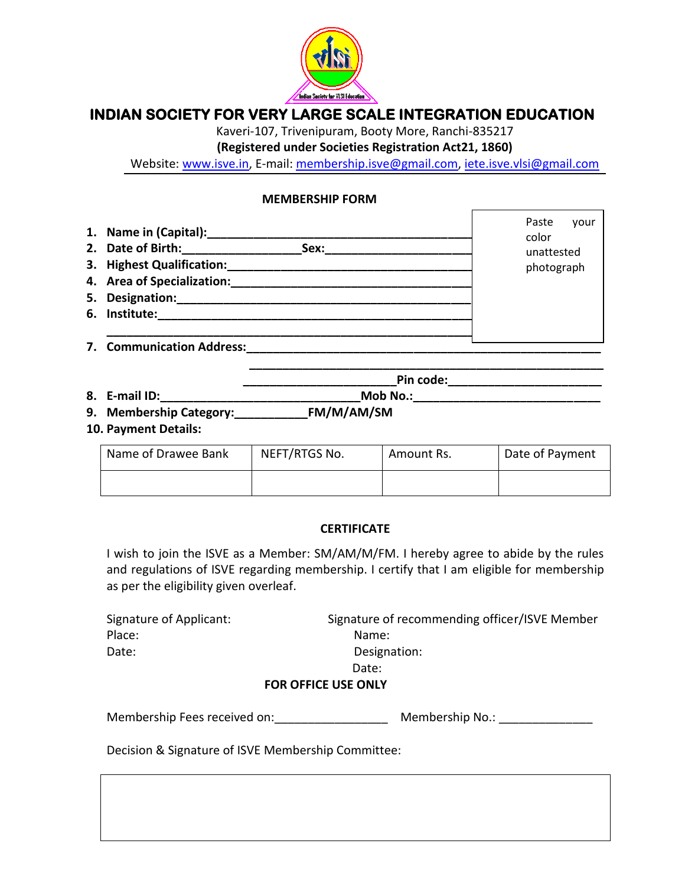

## **INDIAN SOCIETY FOR VERY LARGE SCALE INTEGRATION EDUCATION**

Kaveri-107, Trivenipuram, Booty More, Ranchi-835217

**(Registered under Societies Registration Act21, 1860)**

Website: [www.isve.in,](http://www.isve.in/) E-mail: [membership.isve@gmail.com,](mailto:membership.isve@gmail.com) [iete.isve.vlsi@gmail.com](mailto:iete.isve.vlsi@gmail.com)

## **MEMBERSHIP FORM**

| 1. Name in (Capital): ____________________ | Paste<br>vour<br>color |
|--------------------------------------------|------------------------|
| 2. Date of Birth:<br>Sex:                  | unattested             |
| 3. Highest Qualification:                  | photograph             |
| 4. Area of Specialization:                 |                        |
| 5. Designation:                            |                        |
| 6. Institute:                              |                        |
|                                            |                        |
| 7. Communication Address:                  |                        |

| 8.<br>maxifIP<br>M<br>No.<br>.<br>-------<br>. н. |  |
|---------------------------------------------------|--|
|---------------------------------------------------|--|

- **9. Membership Category:\_\_\_\_\_\_\_\_\_\_\_FM/M/AM/SM**
- **10. Payment Details:**

| Name of Drawee Bank | NEFT/RTGS No. | Amount Rs. | Date of Payment |
|---------------------|---------------|------------|-----------------|
|                     |               |            |                 |

 **\_\_\_\_\_\_\_\_\_\_\_\_\_\_\_\_\_\_\_\_\_\_\_\_\_\_\_\_\_\_\_\_\_\_\_\_\_\_\_\_\_\_\_\_\_\_\_\_\_\_\_\_\_**

Pin code:

## **CERTIFICATE**

I wish to join the ISVE as a Member: SM/AM/M/FM. I hereby agree to abide by the rules and regulations of ISVE regarding membership. I certify that I am eligible for membership as per the eligibility given overleaf.

| Signature of Applicant: | Signature of recommending officer/ISVE Member |
|-------------------------|-----------------------------------------------|
| Place:                  | Name:                                         |
| Date:                   | Designation:                                  |
|                         | Date:                                         |
|                         | <b>FOR OFFICE USE ONLY</b>                    |

| Membership Fees received on: | Membership No.: |  |
|------------------------------|-----------------|--|
|                              |                 |  |

Decision & Signature of ISVE Membership Committee: